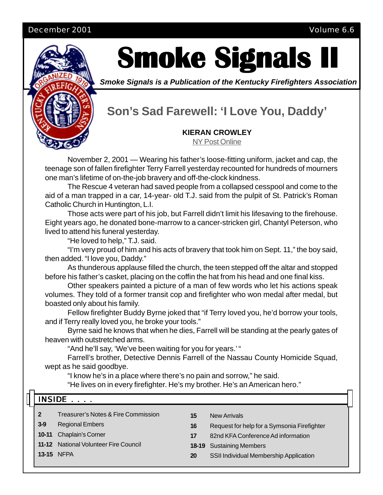#### December 2001 Volume 6.6



# **Smoke Signals II Smoke Signals II Smoke Signals II**

*Smoke Signals is a Publication of the Kentucky Firefighters Association*

## **Son's Sad Farewell: 'I Love You, Daddy'**

#### **KIERAN CROWLEY**

NY Post Online

November 2, 2001 — Wearing his father's loose-fitting uniform, jacket and cap, the teenage son of fallen firefighter Terry Farrell yesterday recounted for hundreds of mourners one man's lifetime of on-the-job bravery and off-the-clock kindness.

The Rescue 4 veteran had saved people from a collapsed cesspool and come to the aid of a man trapped in a car, 14-year- old T.J. said from the pulpit of St. Patrick's Roman Catholic Church in Huntington, L.I.

Those acts were part of his job, but Farrell didn't limit his lifesaving to the firehouse. Eight years ago, he donated bone-marrow to a cancer-stricken girl, Chantyl Peterson, who lived to attend his funeral yesterday.

"He loved to help," T.J. said.

"I'm very proud of him and his acts of bravery that took him on Sept. 11," the boy said, then added. "I love you, Daddy."

As thunderous applause filled the church, the teen stepped off the altar and stopped before his father's casket, placing on the coffin the hat from his head and one final kiss.

Other speakers painted a picture of a man of few words who let his actions speak volumes. They told of a former transit cop and firefighter who won medal after medal, but boasted only about his family.

Fellow firefighter Buddy Byrne joked that "if Terry loved you, he'd borrow your tools, and if Terry really loved you, he broke your tools."

Byrne said he knows that when he dies, Farrell will be standing at the pearly gates of heaven with outstretched arms.

"And he'll say, 'We've been waiting for you for years.' "

Farrell's brother, Detective Dennis Farrell of the Nassau County Homicide Squad, wept as he said goodbye.

"I know he's in a place where there's no pain and sorrow," he said.

"He lives on in every firefighter. He's my brother. He's an American hero."

## INSIDE  $\ldots$

- **2** Treasurer's Notes & Fire Commission
- **3-9** Regional Embers
- **10-11** Chaplain's Corner
- **11-12** National Volunteer Fire Council
- **13-15** NFPA
- **15** New Arrivals
- **16** Request for help for a Symsonia Firefighter
- **17** 82nd KFA Conference Ad information
- **18-19** Sustaining Members
- **20** SSII Individual Membership Application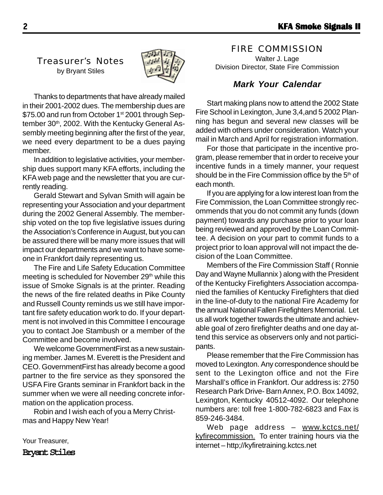Treasurer's Notes



Thanks to departments that have already mailed in their 2001-2002 dues. The membership dues are \$75.00 and run from October 1<sup>st</sup> 2001 through September 30<sup>th</sup>, 2002. With the Kentucky General Assembly meeting beginning after the first of the year, we need every department to be a dues paying member.

In addition to legislative activities, your membership dues support many KFA efforts, including the KFA web page and the newsletter that you are currently reading.

Gerald Stewart and Sylvan Smith will again be representing your Association and your department during the 2002 General Assembly. The membership voted on the top five legislative issues during the Association's Conference in August, but you can be assured there will be many more issues that will impact our departments and we want to have someone in Frankfort daily representing us.

The Fire and Life Safety Education Committee meeting is scheduled for November 29<sup>th</sup> while this issue of Smoke Signals is at the printer. Reading the news of the fire related deaths in Pike County and Russell County reminds us we still have important fire safety education work to do. If your department is not involved in this Committee I encourage you to contact Joe Stambush or a member of the Committee and become involved.

We welcome GovernmentFirst as a new sustaining member. James M. Everett is the President and CEO. GovernmentFirst has already become a good partner to the fire service as they sponsored the USFA Fire Grants seminar in Frankfort back in the summer when we were all needing concrete information on the application process.

Robin and I wish each of you a Merry Christmas and Happy New Year!

Your Treasurer,

**Bryant Stiles**

FIRE COMMISSION

Walter J. Lage Division Director, State Fire Commission

#### *Mark Your Calendar*

Start making plans now to attend the 2002 State Fire School in Lexington, June 3,4,and 5 2002 Planning has begun and several new classes will be added with others under consideration. Watch your mail in March and April for registration information.

For those that participate in the incentive program, please remember that in order to receive your incentive funds in a timely manner, your request should be in the Fire Commission office by the 5<sup>th</sup> of each month.

If you are applying for a low interest loan from the Fire Commission, the Loan Committee strongly recommends that you do not commit any funds (down payment) towards any purchase prior to your loan being reviewed and approved by the Loan Committee. A decision on your part to commit funds to a project prior to loan approval will not impact the decision of the Loan Committee.

Members of the Fire Commission Staff ( Ronnie Day and Wayne Mullannix ) along with the President of the Kentucky Firefighters Association accompanied the families of Kentucky Firefighters that died in the line-of-duty to the national Fire Academy for the annual National Fallen Firefighters Memorial. Let us all work together towards the ultimate and achievable goal of zero firefighter deaths and one day attend this service as observers only and not participants.

Please remember that the Fire Commission has moved to Lexington. Any correspondence should be sent to the Lexington office and not the Fire Marshall's office in Frankfort. Our address is: 2750 Research Park Drive- Barn Annex, P.O. Box 14092, Lexington, Kentucky 40512-4092. Our telephone numbers are: toll free 1-800-782-6823 and Fax is 859-246-3484.

Web page address – www.kctcs.net/ kyfirecommission. To enter training hours via the internet – http;//kyfiretraining.kctcs.net

by Bryant Stiles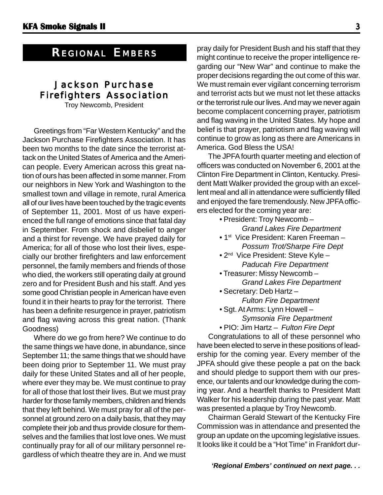## *REGIONAL EMBERS*

## Jackson Purchase Firefighters Association

Troy Newcomb, President

Greetings from "Far Western Kentucky" and the Jackson Purchase Firefighters Association. It has been two months to the date since the terrorist attack on the United States of America and the American people. Every American across this great nation of ours has been affected in some manner. From our neighbors in New York and Washington to the smallest town and village in remote, rural America all of our lives have been touched by the tragic events of September 11, 2001. Most of us have experienced the full range of emotions since that fatal day in September. From shock and disbelief to anger and a thirst for revenge. We have prayed daily for America; for all of those who lost their lives, especially our brother firefighters and law enforcement personnel, the family members and friends of those who died, the workers still operating daily at ground zero and for President Bush and his staff. And yes some good Christian people in American have even found it in their hearts to pray for the terrorist. There has been a definite resurgence in prayer, patriotism and flag waving across this great nation. (Thank Goodness)

Where do we go from here? We continue to do the same things we have done, in abundance, since September 11; the same things that we should have been doing prior to September 11. We must pray daily for these United States and all of her people, where ever they may be. We must continue to pray for all of those that lost their lives. But we must pray harder for those family members, children and friends that they left behind. We must pray for all of the personnel at ground zero on a daily basis, that they may complete their job and thus provide closure for themselves and the families that lost love ones. We must continually pray for all of our military personnel regardless of which theatre they are in. And we must pray daily for President Bush and his staff that they might continue to receive the proper intelligence regarding our "New War" and continue to make the proper decisions regarding the out come of this war. We must remain ever vigilant concerning terrorism and terrorist acts but we must not let these attacks or the terrorist rule our lives. And may we never again become complacent concerning prayer, patriotism and flag waving in the United States. My hope and belief is that prayer, patriotism and flag waving will continue to grow as long as there are Americans in America. God Bless the USA!

The JPFA fourth quarter meeting and election of officers was conducted on November 6, 2001 at the Clinton Fire Department in Clinton, Kentucky. President Matt Walker provided the group with an excellent meal and all in attendance were sufficiently filled and enjoyed the fare tremendously. New JPFA officers elected for the coming year are:

- President: Troy Newcomb *Grand Lakes Fire Department*
- 1<sup>st</sup> Vice President: Karen Freeman *Possum Trot/Sharpe Fire Dept*
- 2<sup>nd</sup> Vice President: Steve Kyle *Paducah Fire Department*
- Treasurer: Missy Newcomb *Grand Lakes Fire Department*
- Secretary: Deb Hartz *Fulton Fire Department*
- Sgt. At Arms: Lynn Howell *Symsonia Fire Department*
- PIO: Jim Hartz *Fulton Fire Dept*

Congratulations to all of these personnel who have been elected to serve in these positions of leadership for the coming year. Every member of the JPFA should give these people a pat on the back and should pledge to support them with our presence, our talents and our knowledge during the coming year. And a heartfelt thanks to President Matt Walker for his leadership during the past year. Matt was presented a plaque by Troy Newcomb.

Chairman Gerald Stewart of the Kentucky Fire Commission was in attendance and presented the group an update on the upcoming legislative issues. It looks like it could be a "Hot Time" in Frankfort dur-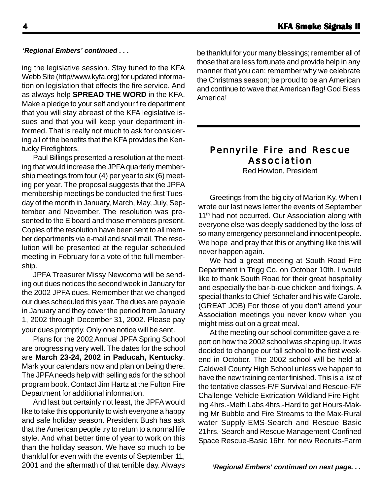#### *'Regional Embers' continued . . .*

ing the legislative session. Stay tuned to the KFA Webb Site (http//www.kyfa.org) for updated information on legislation that effects the fire service. And as always help **SPREAD THE WORD** in the KFA. Make a pledge to your self and your fire department that you will stay abreast of the KFA legislative issues and that you will keep your department informed. That is really not much to ask for considering all of the benefits that the KFA provides the Kentucky Firefighters.

Paul Billings presented a resolution at the meeting that would increase the JPFA quarterly membership meetings from four (4) per year to six (6) meeting per year. The proposal suggests that the JPFA membership meetings be conducted the first Tuesday of the month in January, March, May, July, September and November. The resolution was presented to the E board and those members present. Copies of the resolution have been sent to all member departments via e-mail and snail mail. The resolution will be presented at the regular scheduled meeting in February for a vote of the full membership.

JPFA Treasurer Missy Newcomb will be sending out dues notices the second week in January for the 2002 JPFA dues. Remember that we changed our dues scheduled this year. The dues are payable in January and they cover the period from January 1, 2002 through December 31, 2002. Please pay your dues promptly. Only one notice will be sent.

Plans for the 2002 Annual JPFA Spring School are progressing very well. The dates for the school are **March 23-24, 2002 in Paducah, Kentucky**. Mark your calendars now and plan on being there. The JPFA needs help with selling ads for the school program book. Contact Jim Hartz at the Fulton Fire Department for additional information.

And last but certainly not least, the JPFA would like to take this opportunity to wish everyone a happy and safe holiday season. President Bush has ask that the American people try to return to a normal life style. And what better time of year to work on this than the holiday season. We have so much to be thankful for even with the events of September 11, 2001 and the aftermath of that terrible day. Always be thankful for your many blessings; remember all of those that are less fortunate and provide help in any manner that you can; remember why we celebrate the Christmas season; be proud to be an American and continue to wave that American flag! God Bless America!

### Pennyrile Fire and Rescue Association

Red Howton, President

Greetings from the big city of Marion Ky. When I wrote our last news letter the events of September 11<sup>th</sup> had not occurred. Our Association along with everyone else was deeply saddened by the loss of so many emergency personnel and innocent people. We hope and pray that this or anything like this will never happen again.

We had a great meeting at South Road Fire Department in Trigg Co. on October 10th. I would like to thank South Road for their great hospitality and especially the bar-b-que chicken and fixings. A special thanks to Chief Schafer and his wife Carole. (GREAT JOB) For those of you don't attend your Association meetings you never know when you might miss out on a great meal.

At the meeting our school committee gave a report on how the 2002 school was shaping up. It was decided to change our fall school to the first weekend in October. The 2002 school will be held at Caldwell County High School unless we happen to have the new training center finished. This is a list of the tentative classes-F/F Survival and Rescue-F/F Challenge-Vehicle Extrication-Wildland Fire Fighting 4hrs.-Meth Labs 4hrs.-Hard to get Hours-Making Mr Bubble and Fire Streams to the Max-Rural water Supply-EMS-Search and Rescue Basic 21hrs.-Search and Rescue Management-Confined Space Rescue-Basic 16hr. for new Recruits-Farm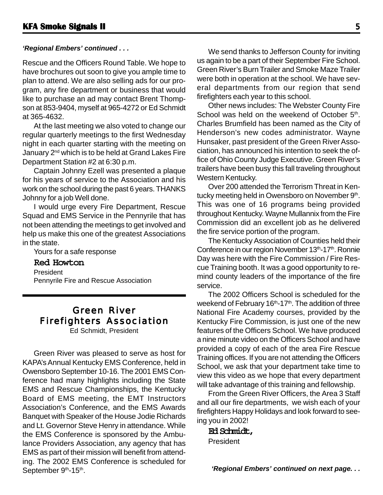#### *'Regional Embers' continued . . .*

Rescue and the Officers Round Table. We hope to have brochures out soon to give you ample time to plan to attend. We are also selling ads for our program, any fire department or business that would like to purchase an ad may contact Brent Thompson at 853-9404, myself at 965-4272 or Ed Schmidt at 365-4632.

At the last meeting we also voted to change our regular quarterly meetings to the first Wednesday night in each quarter starting with the meeting on January 2<sup>nd</sup> which is to be held at Grand Lakes Fire Department Station #2 at 6:30 p.m.

Captain Johnny Ezell was presented a plaque for his years of service to the Association and his work on the school during the past 6 years. THANKS Johnny for a job Well done.

I would urge every Fire Department, Rescue Squad and EMS Service in the Pennyrile that has not been attending the meetings to get involved and help us make this one of the greatest Associations in the state.

Yours for a safe response

**Red Howton**

President Pennyrile Fire and Rescue Association

## Green River Firefighters Association

Ed Schmidt, President

Green River was pleased to serve as host for KAPA's Annual Kentucky EMS Conference, held in Owensboro September 10-16. The 2001 EMS Conference had many highlights including the State EMS and Rescue Championships, the Kentucky Board of EMS meeting, the EMT Instructors Association's Conference, and the EMS Awards Banquet with Speaker of the House Jodie Richards and Lt. Governor Steve Henry in attendance. While the EMS Conference is sponsored by the Ambulance Providers Association, any agency that has EMS as part of their mission will benefit from attending. The 2002 EMS Conference is scheduled for September 9th-15th.

We send thanks to Jefferson County for inviting us again to be a part of their September Fire School. Green River's Burn Trailer and Smoke Maze Trailer were both in operation at the school. We have several departments from our region that send firefighters each year to this school.

Other news includes: The Webster County Fire School was held on the weekend of October 5<sup>th</sup>. Charles Brumfield has been named as the City of Henderson's new codes administrator. Wayne Hunsaker, past president of the Green River Association, has announced his intention to seek the office of Ohio County Judge Executive. Green River's trailers have been busy this fall traveling throughout Western Kentucky.

Over 200 attended the Terrorism Threat in Kentucky meeting held in Owensboro on November 9th. This was one of 16 programs being provided throughout Kentucky. Wayne Mullannix from the Fire Commission did an excellent job as he delivered the fire service portion of the program.

The Kentucky Association of Counties held their Conference in our region November 13<sup>th</sup>-17<sup>th</sup>. Ronnie Day was here with the Fire Commission / Fire Rescue Training booth. It was a good opportunity to remind county leaders of the importance of the fire service.

The 2002 Officers School is scheduled for the weekend of February 16<sup>th</sup>-17<sup>th</sup>. The addition of three National Fire Academy courses, provided by the Kentucky Fire Commission, is just one of the new features of the Officers School. We have produced a nine minute video on the Officers School and have provided a copy of each of the area Fire Rescue Training offices. If you are not attending the Officers School, we ask that your department take time to view this video as we hope that every department will take advantage of this training and fellowship.

From the Green River Officers, the Area 3 Staff and all our fire departments, we wish each of your firefighters Happy Holidays and look forward to seeing you in 2002!

**Ed Schmidt,** President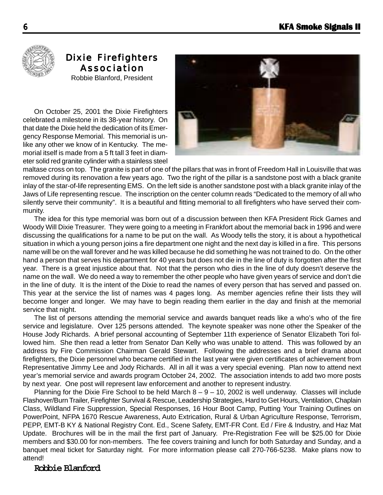

Dixie Firefighters Association Robbie Blanford, President

On October 25, 2001 the Dixie Firefighters celebrated a milestone in its 38-year history. On that date the Dixie held the dedication of its Emergency Response Memorial. This memorial is unlike any other we know of in Kentucky. The memorial itself is made from a 5 ft tall 3 feet in diameter solid red granite cylinder with a stainless steel



maltase cross on top. The granite is part of one of the pillars that was in front of Freedom Hall in Louisville that was removed during its renovation a few years ago. Two the right of the pillar is a sandstone post with a black granite inlay of the star-of-life representing EMS. On the left side is another sandstone post with a black granite inlay of the Jaws of Life representing rescue. The inscription on the center column reads "Dedicated to the memory of all who silently serve their community". It is a beautiful and fitting memorial to all firefighters who have served their community.

The idea for this type memorial was born out of a discussion between then KFA President Rick Games and Woody Will Dixie Treasurer. They were going to a meeting in Frankfort about the memorial back in 1996 and were discussing the qualifications for a name to be put on the wall. As Woody tells the story, it is about a hypothetical situation in which a young person joins a fire department one night and the next day is killed in a fire. This persons name will be on the wall forever and he was killed because he did something he was not trained to do. On the other hand a person that serves his department for 40 years but does not die in the line of duty is forgotten after the first year. There is a great injustice about that. Not that the person who dies in the line of duty doesn't deserve the name on the wall. We do need a way to remember the other people who have given years of service and don't die in the line of duty. It is the intent of the Dixie to read the names of every person that has served and passed on. This year at the service the list of names was 4 pages long. As member agencies refine their lists they will become longer and longer. We may have to begin reading them earlier in the day and finish at the memorial service that night.

The list of persons attending the memorial service and awards banquet reads like a who's who of the fire service and legislature. Over 125 persons attended. The keynote speaker was none other the Speaker of the House Jody Richards. A brief personal accounting of September 11th experience of Senator Elizabeth Tori followed him. She then read a letter from Senator Dan Kelly who was unable to attend. This was followed by an address by Fire Commission Chairman Gerald Stewart. Following the addresses and a brief drama about firefighters, the Dixie personnel who became certified in the last year were given certificates of achievement from Representative Jimmy Lee and Jody Richards. All in all it was a very special evening. Plan now to attend next year's memorial service and awards program October 24, 2002. The association intends to add two more posts by next year. One post will represent law enforcement and another to represent industry.

Planning for the Dixie Fire School to be held March  $8 - 9 - 10$ , 2002 is well underway. Classes will include Flashover/Burn Trailer, Firefighter Survival & Rescue, Leadership Strategies, Hard to Get Hours, Ventilation, Chaplain Class, Wildland Fire Suppression, Special Responses, 16 Hour Boot Camp, Putting Your Training Outlines on PowerPoint, NFPA 1670 Rescue Awareness, Auto Extrication, Rural & Urban Agriculture Response, Terrorism, PEPP, EMT-B KY & National Registry Cont. Ed., Scene Safety, EMT-FR Cont. Ed / Fire & Industry, and Haz Mat Update. Brochures will be in the mail the first part of January. Pre-Registration Fee will be \$25.00 for Dixie members and \$30.00 for non-members. The fee covers training and lunch for both Saturday and Sunday, and a banquet meal ticket for Saturday night. For more information please call 270-766-5238. Make plans now to attend!

#### **Robbie Blanford**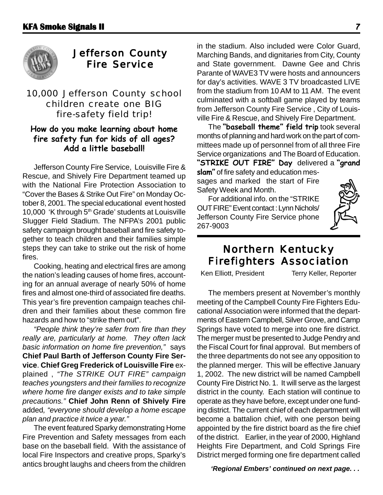

## Jefferson County Fire Service

### 10,000 Jefferson County school children create one BIG fire-safety field trip!

#### **How do you make learning about home fire safety fun for kids of all ages? Add a little baseball!**

Jefferson County Fire Service, Louisville Fire & Rescue, and Shively Fire Department teamed up with the National Fire Protection Association to "Cover the Bases & Strike Out Fire" on Monday October 8, 2001. The special educational event hosted 10,000 'K through 5<sup>th</sup> Grade' students at Louisville Slugger Field Stadium. The NFPA's 2001 public safety campaign brought baseball and fire safety together to teach children and their families simple steps they can take to strike out the risk of home fires.

Cooking, heating and electrical fires are among the nation's leading causes of home fires, accounting for an annual average of nearly 50% of home fires and almost one-third of associated fire deaths. This year's fire prevention campaign teaches children and their families about these common fire hazards and how to "strike them out".

*"People think they're safer from fire than they really are, particularly at home. They often lack basic information on home fire prevention,"* says **Chief Paul Barth of Jefferson County Fire Service**. **Chief Greg Frederick of Louisville Fire** explained , *"The STRIKE OUT FIRE" campaign teaches youngsters and their families to recognize where home fire danger exists and to take simple precautions."* **Chief John Renn of Shively Fire** added*, "everyone should develop a home escape plan and practice it twice a year."*

The event featured Sparky demonstrating Home Fire Prevention and Safety messages from each base on the baseball field. With the assistance of local Fire Inspectors and creative props, Sparky's antics brought laughs and cheers from the children *'Regional Embers' continued on next page...* 

in the stadium. Also included were Color Guard, Marching Bands, and dignitaries from City, County and State government. Dawne Gee and Chris Parante of WAVE3 TV were hosts and announcers for day's activities. WAVE 3 TV broadcasted LIVE from the stadium from 10 AM to 11 AM. The event culminated with a softball game played by teams from Jefferson County Fire Service , City of Louisville Fire & Rescue, and Shively Fire Department.

The **"baseball theme" field trip** took several months of planning and hard work on the part of committees made up of personnel from of all three Fire Service organizations and The Board of Education. **"STRIKE OUT FIRE" Day** delivered a **"grand slam"** of fire safety and education messages and marked the start of Fire

Safety Week and Month. For additional info. on the "STRIKE OUT FIRE" Event contact : Lynn Nichols/ Jefferson County Fire Service phone 267-9003



## Northern Kentucky Firefighters Association

Ken Elliott, President Terry Keller, Reporter

The members present at November's monthly meeting of the Campbell County Fire Fighters Educational Association were informed that the departments of Eastern Campbell, Silver Grove, and Camp Springs have voted to merge into one fire district. The merger must be presented to Judge Pendry and the Fiscal Court for final approval. But members of the three departments do not see any opposition to the planned merger. This will be effective January 1, 2002. The new district will be named Campbell County Fire District No. 1. It will serve as the largest district in the county. Each station will continue to operate as they have before, except under one funding district. The current chief of each department will become a battalion chief, with one person being appointed by the fire district board as the fire chief of the district. Earlier, in the year of 2000, Highland Heights Fire Department, and Cold Springs Fire District merged forming one fire department called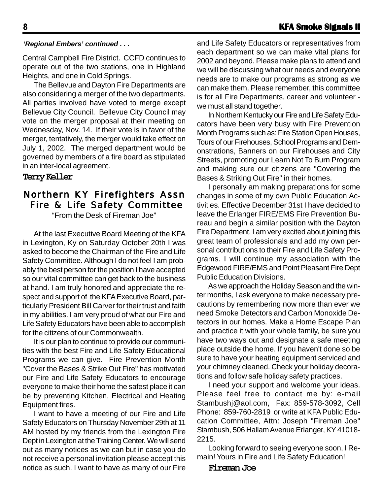#### *'Regional Embers' continued . . .*

Central Campbell Fire District. CCFD continues to operate out of the two stations, one in Highland Heights, and one in Cold Springs.

The Bellevue and Dayton Fire Departments are also considering a merger of the two departments. All parties involved have voted to merge except Bellevue City Council. Bellevue City Council may vote on the merger proposal at their meeting on Wednesday, Nov. 14. If their vote is in favor of the merger, tentatively, the merger would take effect on July 1, 2002. The merged department would be governed by members of a fire board as stipulated in an inter-local agreement.

#### **Terry Keller**

#### Northern KY Firefighters Assn Fire & Life Safety Committee

"From the Desk of Fireman Joe"

At the last Executive Board Meeting of the KFA in Lexington, Ky on Saturday October 20th I was asked to become the Chairman of the Fire and Life Safety Committee. Although I do not feel I am probably the best person for the position I have accepted so our vital committee can get back to the business at hand. I am truly honored and appreciate the respect and support of the KFA Executive Board, particularly President Bill Carver for their trust and faith in my abilities. I am very proud of what our Fire and Life Safety Educators have been able to accomplish for the citizens of our Commonwealth.

It is our plan to continue to provide our communities with the best Fire and Life Safety Educational Programs we can give. Fire Prevention Month "Cover the Bases & Strike Out Fire" has motivated our Fire and Life Safety Educators to encourage everyone to make their home the safest place it can be by preventing Kitchen, Electrical and Heating Equipment fires.

I want to have a meeting of our Fire and Life Safety Educators on Thursday November 29th at 11 AM hosted by my friends from the Lexington Fire Dept in Lexington at the Training Center. We will send out as many notices as we can but in case you do not receive a personal invitation please accept this notice as such. I want to have as many of our Fire and Life Safety Educators or representatives from each department so we can make vital plans for 2002 and beyond. Please make plans to attend and we will be discussing what our needs and everyone needs are to make our programs as strong as we can make them. Please remember, this committee is for all Fire Departments, career and volunteer we must all stand together.

In Northern Kentucky our Fire and Life Safety Educators have been very busy with Fire Prevention Month Programs such as: Fire Station Open Houses, Tours of our Firehouses, School Programs and Demonstrations, Banners on our Firehouses and City Streets, promoting our Learn Not To Burn Program and making sure our citizens are "Covering the Bases & Striking Out Fire" in their homes.

I personally am making preparations for some changes in some of my own Public Education Activities. Effective December 31st I have decided to leave the Erlanger FIRE/EMS Fire Prevention Bureau and begin a similar position with the Dayton Fire Department. I am very excited about joining this great team of professionals and add my own personal contributions to their Fire and Life Safety Programs. I will continue my association with the Edgewood FIRE/EMS and Point Pleasant Fire Dept Public Education Divisions.

As we approach the Holiday Season and the winter months, I ask everyone to make necessary precautions by remembering now more than ever we need Smoke Detectors and Carbon Monoxide Detectors in our homes. Make a Home Escape Plan and practice it with your whole family, be sure you have two ways out and designate a safe meeting place outside the home. If you haven't done so be sure to have your heating equipment serviced and your chimney cleaned. Check your holiday decorations and follow safe holiday safety practices.

I need your support and welcome your ideas. Please feel free to contact me by: e-mail Stambushj@aol.com, Fax: 859-578-3092, Cell Phone: 859-760-2819 or write at KFA Public Education Committee, Attn: Joseph "Fireman Joe" Stambush, 506 Hallam Avenue Erlanger, KY 41018- 2215.

Looking forward to seeing everyone soon, I Remain! Yours in Fire and Life Safety Education!

**Fireman Joe**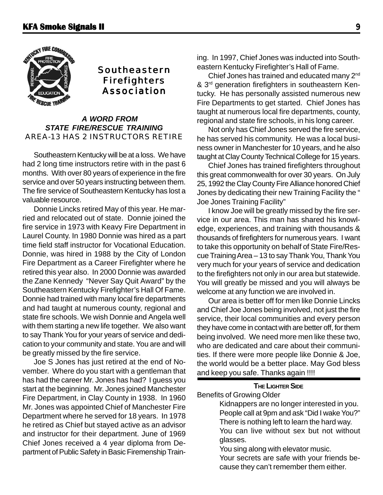

## Southeastern Firefighters Association

#### *A WORD FROM STATE FIRE/RESCUE TRAINING* AREA-13 HAS 2 INSTRUCTORS RETIRE

Southeastern Kentucky will be at a loss. We have had 2 long time instructors retire with in the past 6 months. With over 80 years of experience in the fire service and over 50 years instructing between them. The fire service of Southeastern Kentucky has lost a valuable resource.

Donnie Lincks retired May of this year. He married and relocated out of state. Donnie joined the fire service in 1973 with Keavy Fire Department in Laurel County. In 1980 Donnie was hired as a part time field staff instructor for Vocational Education. Donnie, was hired in 1988 by the City of London Fire Department as a Career Firefighter where he retired this year also. In 2000 Donnie was awarded the Zane Kennedy "Never Say Quit Award" by the Southeastern Kentucky Firefighter's Hall Of Fame. Donnie had trained with many local fire departments and had taught at numerous county, regional and state fire schools. We wish Donnie and Angela well with them starting a new life together. We also want to say Thank You for your years of service and dedication to your community and state. You are and will be greatly missed by the fire service.

Joe S Jones has just retired at the end of November. Where do you start with a gentleman that has had the career Mr. Jones has had? I guess you start at the beginning. Mr. Jones joined Manchester Fire Department, in Clay County in 1938. In 1960 Mr. Jones was appointed Chief of Manchester Fire Department where he served for 18 years. In 1978 he retired as Chief but stayed active as an advisor and instructor for their department. June of 1969 Chief Jones received a 4 year diploma from Department of Public Safety in Basic Firemenship Training. In 1997, Chief Jones was inducted into Southeastern Kentucky Firefighter's Hall of Fame.

Chief Jones has trained and educated many 2nd & 3<sup>rd</sup> generation firefighters in southeastern Kentucky. He has personally assisted numerous new Fire Departments to get started. Chief Jones has taught at numerous local fire departments, county, regional and state fire schools, in his long career.

Not only has Chief Jones served the fire service, he has served his community. He was a local business owner in Manchester for 10 years, and he also taught at Clay County Technical College for 15 years.

Chief Jones has trained firefighters throughout this great commonwealth for over 30 years. On July 25, 1992 the Clay County Fire Alliance honored Chief Jones by dedicating their new Training Facility the " Joe Jones Training Facility"

I know Joe will be greatly missed by the fire service in our area. This man has shared his knowledge, experiences, and training with thousands & thousands of firefighters for numerous years. I want to take this opportunity on behalf of State Fire/Rescue Training Area – 13 to say Thank You, Thank You very much for your years of service and dedication to the firefighters not only in our area but statewide. You will greatly be missed and you will always be welcome at any function we are involved in.

Our area is better off for men like Donnie Lincks and Chief Joe Jones being involved, not just the fire service, their local communities and every person they have come in contact with are better off, for them being involved. We need more men like these two, who are dedicated and care about their communities. If there were more people like Donnie & Joe, the world would be a better place. May God bless and keep you safe. Thanks again !!!!

#### **THE LIGHTER SIDE**

Benefits of Growing Older

Kidnappers are no longer interested in you. People call at 9pm and ask "Did I wake You?" There is nothing left to learn the hard way. You can live without sex but not without glasses.

You sing along with elevator music.

Your secrets are safe with your friends because they can't remember them either.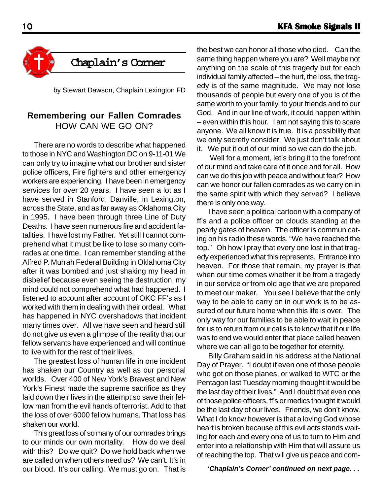

by Stewart Dawson, Chaplain Lexington FD

### **Remembering our Fallen Comrades** HOW CAN WE GO ON?

There are no words to describe what happened to those in NYC and Washington DC on 9-11-01 We can only try to imagine what our brother and sister police officers, Fire fighters and other emergency workers are experiencing. I have been in emergency services for over 20 years. I have seen a lot as I have served in Stanford, Danville, in Lexington, across the State, and as far away as Oklahoma City in 1995. I have been through three Line of Duty Deaths. I have seen numerous fire and accident fatalities. I have lost my Father. Yet still I cannot comprehend what it must be like to lose so many comrades at one time. I can remember standing at the Alfred P. Murrah Federal Building in Oklahoma City after it was bombed and just shaking my head in disbelief because even seeing the destruction, my mind could not comprehend what had happened. I listened to account after account of OKC FF's as I worked with them in dealing with their ordeal. What has happened in NYC overshadows that incident many times over. All we have seen and heard still do not give us even a glimpse of the reality that our fellow servants have experienced and will continue to live with for the rest of their lives.

The greatest loss of human life in one incident has shaken our Country as well as our personal worlds. Over 400 of New York's Bravest and New York's Finest made the supreme sacrifice as they laid down their lives in the attempt so save their fellow man from the evil hands of terrorist. Add to that the loss of over 6000 fellow humans. That loss has shaken our world.

This great loss of so many of our comrades brings to our minds our own mortality. How do we deal with this? Do we quit? Do we hold back when we are called on when others need us? We can't. It's in our blood. It's our calling. We must go on. That is

the best we can honor all those who died. Can the same thing happen where you are? Well maybe not anything on the scale of this tragedy but for each individual family affected – the hurt, the loss, the tragedy is of the same magnitude. We may not lose thousands of people but every one of you is of the same worth to your family, to your friends and to our God. And in our line of work, it could happen within – even within this hour. I am not saying this to scare anyone. We all know it is true. It is a possibility that we only secretly consider. We just don't talk about it. We put it out of our mind so we can do the job.

 Well for a moment, let's bring it to the forefront of our mind and take care of it once and for all. How can we do this job with peace and without fear? How can we honor our fallen comrades as we carry on in the same spirit with which they served? I believe there is only one way.

I have seen a political cartoon with a company of ff's and a police officer on clouds standing at the pearly gates of heaven. The officer is communicating on his radio these words. "We have reached the top." Oh how I pray that every one lost in that tragedy experienced what this represents. Entrance into heaven. For those that remain, my prayer is that when our time comes whether it be from a tragedy in our service or from old age that we are prepared to meet our maker. You see I believe that the only way to be able to carry on in our work is to be assured of our future home when this life is over. The only way for our families to be able to wait in peace for us to return from our calls is to know that if our life was to end we would enter that place called heaven where we can all go to be together for eternity.

Billy Graham said in his address at the National Day of Prayer. "I doubt if even one of those people who got on those planes, or walked to WTC or the Pentagon last Tuesday morning thought it would be the last day of their lives." And I doubt that even one of those police officers, ff's or medics thought it would be the last day of our lives. Friends, we don't know. What I do know however is that a loving God whose heart is broken because of this evil acts stands waiting for each and every one of us to turn to Him and enter into a relationship with Him that will assure us of reaching the top. That will give us peace and com-

#### *'Chaplain's Corner' continued on next page. . .*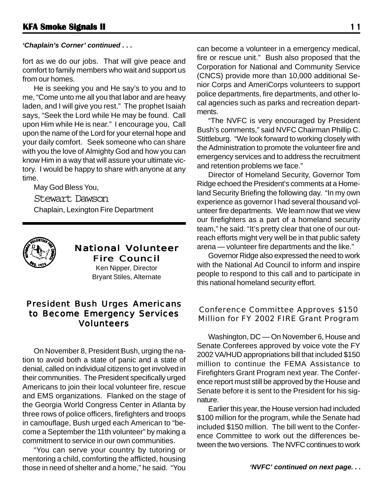#### *'Chaplain's Corner' continued . . .*

fort as we do our jobs. That will give peace and comfort to family members who wait and support us from our homes.

He is seeking you and He say's to you and to me, "Come unto me all you that labor and are heavy laden, and I will give you rest." The prophet Isaiah says, "Seek the Lord while He may be found. Call upon Him while He is near." I encourage you, Call upon the name of the Lord for your eternal hope and your daily comfort. Seek someone who can share with you the love of Almighty God and how you can know Him in a way that will assure your ultimate victory. I would be happy to share with anyone at any time.

May God Bless You,

Stewart Dawson Chaplain, Lexington Fire Department



#### **National Volunteer** Fire Council

Ken Nipper, Director Bryant Stiles, Alternate

#### *President Bush Urges Americans to Become Emergency Services Volunteers*

On November 8, President Bush, urging the nation to avoid both a state of panic and a state of denial, called on individual citizens to get involved in their communities. The President specifically urged Americans to join their local volunteer fire, rescue and EMS organizations. Flanked on the stage of the Georgia World Congress Center in Atlanta by three rows of police officers, firefighters and troops in camouflage, Bush urged each American to "become a September the 11th volunteer" by making a commitment to service in our own communities.

"You can serve your country by tutoring or mentoring a child, comforting the afflicted, housing those in need of shelter and a home," he said. "You

can become a volunteer in a emergency medical, fire or rescue unit." Bush also proposed that the Corporation for National and Community Service (CNCS) provide more than 10,000 additional Senior Corps and AmeriCorps volunteers to support police departments, fire departments, and other local agencies such as parks and recreation departments.

"The NVFC is very encouraged by President Bush's comments," said NVFC Chairman Phillip C. Stittleburg. "We look forward to working closely with the Administration to promote the volunteer fire and emergency services and to address the recruitment and retention problems we face."

Director of Homeland Security, Governor Tom Ridge echoed the President's comments at a Homeland Security Briefing the following day. "In my own experience as governor I had several thousand volunteer fire departments. We learn now that we view our firefighters as a part of a homeland security team," he said. "It's pretty clear that one of our outreach efforts might very well be in that public safety arena — volunteer fire departments and the like."

Governor Ridge also expressed the need to work with the National Ad Council to inform and inspire people to respond to this call and to participate in this national homeland security effort.

#### Conference Committee Approves \$150 Million for FY 2002 FIRE Grant Program

Washington, DC — On November 6, House and Senate Conferees approved by voice vote the FY 2002 VA/HUD appropriations bill that included \$150 million to continue the FEMA Assistance to Firefighters Grant Program next year. The Conference report must still be approved by the House and Senate before it is sent to the President for his signature.

Earlier this year, the House version had included \$100 million for the program, while the Senate had included \$150 million. The bill went to the Conference Committee to work out the differences between the two versions. The NVFC continues to work

*'NVFC' continued on next page. . .*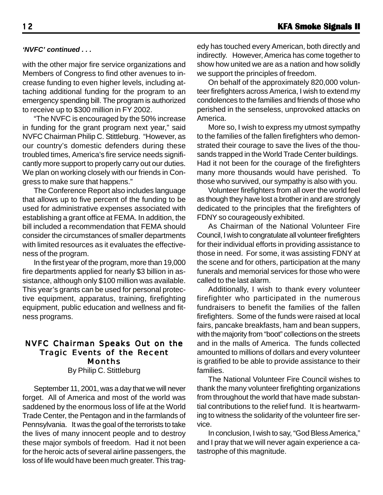#### *'NVFC' continued . . .*

with the other major fire service organizations and Members of Congress to find other avenues to increase funding to even higher levels, including attaching additional funding for the program to an emergency spending bill. The program is authorized to receive up to \$300 million in FY 2002.

"The NVFC is encouraged by the 50% increase in funding for the grant program next year," said NVFC Chairman Philip C. Stittleburg. "However, as our country's domestic defenders during these troubled times, America's fire service needs significantly more support to properly carry out our duties. We plan on working closely with our friends in Congress to make sure that happens."

The Conference Report also includes language that allows up to five percent of the funding to be used for administrative expenses associated with establishing a grant office at FEMA. In addition, the bill included a recommendation that FEMA should consider the circumstances of smaller departments with limited resources as it evaluates the effectiveness of the program.

In the first year of the program, more than 19,000 fire departments applied for nearly \$3 billion in assistance, although only \$100 million was available. This year's grants can be used for personal protective equipment, apparatus, training, firefighting equipment, public education and wellness and fitness programs.

#### NVFC Chairman Speaks Out on the Tragic Events of the Recent Months

By Philip C. Stittleburg

September 11, 2001, was a day that we will never forget. All of America and most of the world was saddened by the enormous loss of life at the World Trade Center, the Pentagon and in the farmlands of Pennsylvania. It was the goal of the terrorists to take the lives of many innocent people and to destroy these major symbols of freedom. Had it not been for the heroic acts of several airline passengers, the loss of life would have been much greater. This tragedy has touched every American, both directly and indirectly. However, America has come together to show how united we are as a nation and how solidly we support the principles of freedom.

On behalf of the approximately 820,000 volunteer firefighters across America, I wish to extend my condolences to the families and friends of those who perished in the senseless, unprovoked attacks on America.

More so, I wish to express my utmost sympathy to the families of the fallen firefighters who demonstrated their courage to save the lives of the thousands trapped in the World Trade Center buildings. Had it not been for the courage of the firefighters many more thousands would have perished. To those who survived, our sympathy is also with you.

Volunteer firefighters from all over the world feel as though they have lost a brother in and are strongly dedicated to the principles that the firefighters of FDNY so courageously exhibited.

As Chairman of the National Volunteer Fire Council, I wish to congratulate all volunteer firefighters for their individual efforts in providing assistance to those in need. For some, it was assisting FDNY at the scene and for others, participation at the many funerals and memorial services for those who were called to the last alarm.

Additionally, I wish to thank every volunteer firefighter who participated in the numerous fundraisers to benefit the families of the fallen firefighters. Some of the funds were raised at local fairs, pancake breakfasts, ham and bean suppers, with the majority from "boot" collections on the streets and in the malls of America. The funds collected amounted to millions of dollars and every volunteer is gratified to be able to provide assistance to their families.

The National Volunteer Fire Council wishes to thank the many volunteer firefighting organizations from throughout the world that have made substantial contributions to the relief fund. It is heartwarming to witness the solidarity of the volunteer fire service.

In conclusion, I wish to say, "God Bless America," and I pray that we will never again experience a catastrophe of this magnitude.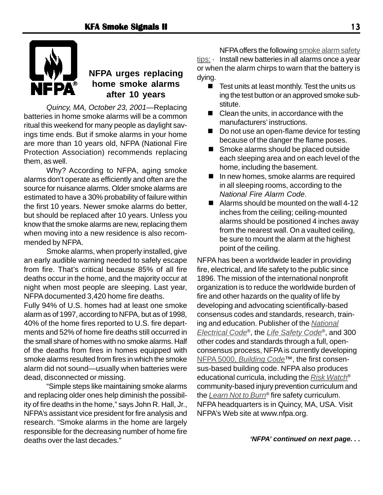

## **NFPA urges replacing home smoke alarms after 10 years**

*Quincy, MA, October 23, 2001—*Replacing batteries in home smoke alarms will be a common ritual this weekend for many people as daylight savings time ends. But if smoke alarms in your home are more than 10 years old, NFPA (National Fire Protection Association) recommends replacing them, as well.

Why? According to NFPA, aging smoke alarms don't operate as efficiently and often are the source for nuisance alarms. Older smoke alarms are estimated to have a 30% probability of failure within the first 10 years. Newer smoke alarms do better, but should be replaced after 10 years. Unless you know that the smoke alarms are new, replacing them when moving into a new residence is also recommended by NFPA.

Smoke alarms, when properly installed, give an early audible warning needed to safely escape from fire. That's critical because 85% of all fire deaths occur in the home, and the majority occur at night when most people are sleeping. Last year, NFPA documented 3,420 home fire deaths.

Fully 94% of U.S. homes had at least one smoke alarm as of 1997, according to NFPA, but as of 1998, 40% of the home fires reported to U.S. fire departments and 52% of home fire deaths still occurred in the small share of homes with no smoke alarms. Half of the deaths from fires in homes equipped with smoke alarms resulted from fires in which the smoke alarm did not sound—usually when batteries were dead, disconnected or missing.

"Simple steps like maintaining smoke alarms and replacing older ones help diminish the possibility of fire deaths in the home," says John R. Hall, Jr., NFPA's assistant vice president for fire analysis and research. "Smoke alarms in the home are largely responsible for the decreasing number of home fire deaths over the last decades."

NFPA offers the following smoke alarm safety tips: · Install new batteries in all alarms once a year or when the alarm chirps to warn that the battery is dying.

- $\blacksquare$  Test units at least monthly. Test the units us ing the test button or an approved smoke substitute.
- Clean the units, in accordance with the manufacturers' instructions.
- Do not use an open-flame device for testing because of the danger the flame poses.
- Smoke alarms should be placed outside each sleeping area and on each level of the home, including the basement.
- In new homes, smoke alarms are required in all sleeping rooms, according to the *National Fire Alarm Code*.
- Alarms should be mounted on the wall 4-12 inches from the ceiling; ceiling-mounted alarms should be positioned 4 inches away from the nearest wall. On a vaulted ceiling, be sure to mount the alarm at the highest point of the ceiling.

NFPA has been a worldwide leader in providing fire, electrical, and life safety to the public since 1896. The mission of the international nonprofit organization is to reduce the worldwide burden of fire and other hazards on the quality of life by developing and advocating scientifically-based consensus codes and standards, research, training and education. Publisher of the *National Electrical Code*®, the *Life Safety Code*®, and 300 other codes and standards through a full, openconsensus process, NFPA is currently developing NFPA 5000, *Building Code*™, the first consensus-based building code. NFPA also produces educational curricula, including the *Risk Watch*® community-based injury prevention curriculum and the *Learn Not to Burn*® fire safety curriculum. NFPA headquarters is in Quincy, MA, USA. Visit NFPA's Web site at www.nfpa.org.

*'NFPA' continued on next page. . .*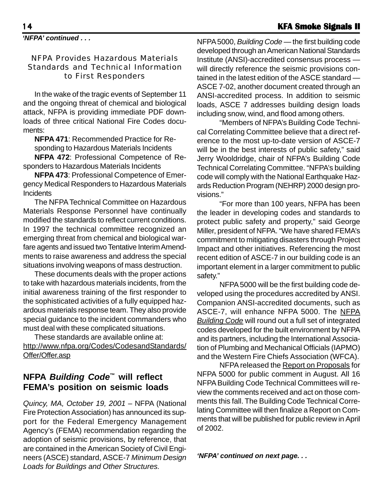*'NFPA' continued . . .*

#### NFPA Provides Hazardous Materials Standards and Technical Information to First Responders

In the wake of the tragic events of September 11 and the ongoing threat of chemical and biological attack, NFPA is providing immediate PDF downloads of three critical National Fire Codes documents:

**NFPA 471**: Recommended Practice for Responding to Hazardous Materials Incidents

**NFPA 472**: Professional Competence of Responders to Hazardous Materials Incidents

**NFPA 473**: Professional Competence of Emergency Medical Responders to Hazardous Materials **Incidents** 

The NFPA Technical Committee on Hazardous Materials Response Personnel have continually modified the standards to reflect current conditions. In 1997 the technical committee recognized an emerging threat from chemical and biological warfare agents and issued two Tentative Interim Amendments to raise awareness and address the special situations involving weapons of mass destruction.

These documents deals with the proper actions to take with hazardous materials incidents, from the initial awareness training of the first responder to the sophisticated activities of a fully equipped hazardous materials response team. They also provide special guidance to the incident commanders who must deal with these complicated situations.

These standards are available online at: http://www.nfpa.org/Codes/CodesandStandards/ Offer/Offer.asp

### **NFPA** *Building Code***™ will reflect FEMA's position on seismic loads**

*Quincy, MA, October 19, 2001* – NFPA (National Fire Protection Association) has announced its support for the Federal Emergency Management Agency's (FEMA) recommendation regarding the adoption of seismic provisions, by reference, that are contained in the American Society of Civil Engineers (ASCE) standard, ASCE-7 *Minimum Design Loads for Buildings and Other Structures.*

NFPA 5000, *Building Code* — the first building code developed through an American National Standards Institute (ANSI)-accredited consensus process will directly reference the seismic provisions contained in the latest edition of the ASCE standard — ASCE 7-02, another document created through an ANSI-accredited process. In addition to seismic loads, ASCE 7 addresses building design loads including snow, wind, and flood among others.

"Members of NFPA's Building Code Technical Correlating Committee believe that a direct reference to the most up-to-date version of ASCE-7 will be in the best interests of public safety," said Jerry Wooldridge, chair of NFPA's Building Code Technical Correlating Committee. "NFPA's building code will comply with the National Earthquake Hazards Reduction Program (NEHRP) 2000 design provisions."

"For more than 100 years, NFPA has been the leader in developing codes and standards to protect public safety and property," said George Miller, president of NFPA. "We have shared FEMA's commitment to mitigating disasters through Project Impact and other initiatives. Referencing the most recent edition of ASCE-7 in our building code is an important element in a larger commitment to public safety."

NFPA 5000 will be the first building code developed using the procedures accredited by ANSI. Companion ANSI-accredited documents, such as ASCE-7, will enhance NFPA 5000. The NFPA *Building Code* will round out a full set of integrated codes developed for the built environment by NFPA and its partners, including the International Association of Plumbing and Mechanical Officials (IAPMO) and the Western Fire Chiefs Association (WFCA).

NFPA released the Report on Proposals for NFPA 5000 for public comment in August. All 16 NFPA Building Code Technical Committees will review the comments received and act on those comments this fall. The Building Code Technical Correlating Committee will then finalize a Report on Comments that will be published for public review in April of 2002.

*'NFPA' continued on next page. . .*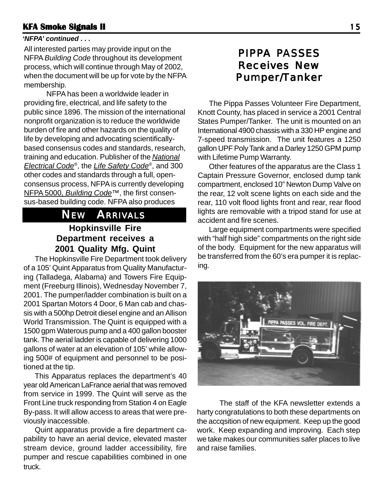#### **KFA Smoke Signals II KFA Smoke Signals II** 1 5

#### *'NFPA' continued . . .*

All interested parties may provide input on the NFPA *Building Code* throughout its development process, which will continue through May of 2002, when the document will be up for vote by the NFPA membership.

NFPA has been a worldwide leader in providing fire, electrical, and life safety to the public since 1896. The mission of the international nonprofit organization is to reduce the worldwide burden of fire and other hazards on the quality of life by developing and advocating scientificallybased consensus codes and standards, research, training and education. Publisher of the *National Electrical Code*®, the *Life Safety Code*®, and 300 other codes and standards through a full, openconsensus process, NFPA is currently developing NFPA 5000, *Building Code*™, the first consensus-based building code. NFPA also produces

## *NEW ARRIVALS*

## **Hopkinsville Fire Department receives a 2001 Quality Mfg. Quint**

The Hopkinsville Fire Department took delivery of a 105' Quint Apparatus from Quality Manufacturing (Talladega, Alabama) and Towers Fire Equipment (Freeburg Illinois), Wednesday November 7, 2001. The pumper/ladder combination is built on a 2001 Spartan Motors 4 Door, 6 Man cab and chassis with a 500hp Detroit diesel engine and an Allison World Transmission. The Quint is equipped with a 1500 gpm Waterous pump and a 400 gallon booster tank. The aerial ladder is capable of delivering 1000 gallons of water at an elevation of 105' while allowing 500# of equipment and personnel to be positioned at the tip.

This Apparatus replaces the department's 40 year old American LaFrance aerial that was removed from service in 1999. The Quint will serve as the Front Line truck responding from Station 4 on Eagle By-pass. It will allow access to areas that were previously inaccessible.

Quint apparatus provide a fire department capability to have an aerial device, elevated master stream device, ground ladder accessibility, fire pumper and rescue capabilities combined in one truck.

## PIPPA PASSES Receives New Pumper/Tanker

The Pippa Passes Volunteer Fire Department, Knott County, has placed in service a 2001 Central States Pumper/Tanker. The unit is mounted on an International 4900 chassis with a 330 HP engine and 7-speed transmission. The unit features a 1250 gallon UPF Poly Tank and a Darley 1250 GPM pump with Lifetime Pump Warranty.

Other features of the apparatus are the Class 1 Captain Pressure Governor, enclosed dump tank compartment, enclosed 10" Newton Dump Valve on the rear, 12 volt scene lights on each side and the rear, 110 volt flood lights front and rear, rear flood lights are removable with a tripod stand for use at accident and fire scenes.

Large equipment compartments were specified with "half high side" compartments on the right side of the body. Equipment for the new apparatus will be transferred from the 60's era pumper it is replacing.



The staff of the KFA newsletter extends a harty congratulations to both these departments on the accqsition of new equipment. Keep up the good work. Keep expanding and improving. Each step we take makes our communities safer places to live and raise families.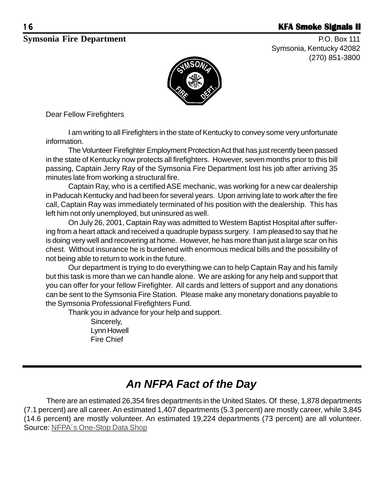#### **16 KFA Smoke Signals II**

### **Symsonia Fire Department** P.O. Box 111

Symsonia, Kentucky 42082 (270) 851-3800



Dear Fellow Firefighters

I am writing to all Firefighters in the state of Kentucky to convey some very unfortunate information.

The Volunteer Firefighter Employment Protection Act that has just recently been passed in the state of Kentucky now protects all firefighters. However, seven months prior to this bill passing, Captain Jerry Ray of the Symsonia Fire Department lost his job after arriving 35 minutes late from working a structural fire.

Captain Ray, who is a certified ASE mechanic, was working for a new car dealership in Paducah Kentucky and had been for several years. Upon arriving late to work after the fire call, Captain Ray was immediately terminated of his position with the dealership. This has left him not only unemployed, but uninsured as well.

On July 26, 2001, Captain Ray was admitted to Western Baptist Hospital after suffering from a heart attack and received a quadruple bypass surgery. I am pleased to say that he is doing very well and recovering at home. However, he has more than just a large scar on his chest. Without insurance he is burdened with enormous medical bills and the possibility of not being able to return to work in the future.

Our department is trying to do everything we can to help Captain Ray and his family but this task is more than we can handle alone. We are asking for any help and support that you can offer for your fellow Firefighter. All cards and letters of support and any donations can be sent to the Symsonia Fire Station. Please make any monetary donations payable to the Symsonia Professional Firefighters Fund.

Thank you in advance for your help and support.

Sincerely, Lynn Howell Fire Chief

## *An NFPA Fact of the Day*

There are an estimated 26,354 fires departments in the United States. Of these, 1,878 departments (7.1 percent) are all career. An estimated 1,407 departments (5.3 percent) are mostly career, while 3,845 (14.6 percent) are mostly volunteer. An estimated 19,224 departments (73 percent) are all volunteer. Source: NFPA's One-Stop Data Shop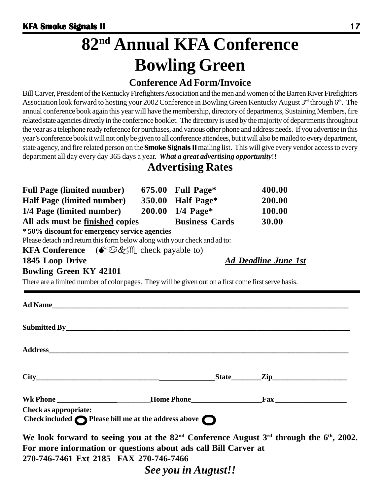## **82nd Annual KFA Conference Bowling Green**

## **Conference Ad Form/Invoice**

Bill Carver, President of the Kentucky Firefighters Association and the men and women of the Barren River Firefighters Association look forward to hosting your 2002 Conference in Bowling Green Kentucky August 3rd through 6th. The annual conference book again this year will have the membership, directory of departments, Sustaining Members, fire related state agencies directly in the conference booklet. The directory is used by the majority of departments throughout the year as a telephone ready reference for purchases, and various other phone and address needs. If you advertise in this year's conference book it will not only be given to all conference attendees, but it will also be mailed to every department, state agency, and fire related person on the **Smoke Signals II** mailing list. This will give every vendor access to every department all day every day 365 days a year. *What a great advertising opportunity*!!

## **Advertising Rates**

| Full Page (limited number) 675.00 Full Page*<br>Half Page (limited number) 350.00 Half Page*<br>$1/4$ Page (limited number) $200.00$ 1/4 Page*<br>All ads must be <u>finished</u> copies <b>Business Cards</b> |  |  | 400.00<br>200.00<br>100.00<br>30.00 |  |  |  |  |  |
|----------------------------------------------------------------------------------------------------------------------------------------------------------------------------------------------------------------|--|--|-------------------------------------|--|--|--|--|--|
| *50% discount for emergency service agencies<br>Please detach and return this form below along with your check and ad to:                                                                                      |  |  |                                     |  |  |  |  |  |
|                                                                                                                                                                                                                |  |  |                                     |  |  |  |  |  |
| 1845 Loop Drive<br><b>Ad Deadline June 1st</b>                                                                                                                                                                 |  |  |                                     |  |  |  |  |  |
| <b>Bowling Green KY 42101</b>                                                                                                                                                                                  |  |  |                                     |  |  |  |  |  |
| There are a limited number of color pages. They will be given out on a first come first serve basis.                                                                                                           |  |  |                                     |  |  |  |  |  |
| Ad Name                                                                                                                                                                                                        |  |  |                                     |  |  |  |  |  |
|                                                                                                                                                                                                                |  |  |                                     |  |  |  |  |  |
|                                                                                                                                                                                                                |  |  |                                     |  |  |  |  |  |
|                                                                                                                                                                                                                |  |  |                                     |  |  |  |  |  |
|                                                                                                                                                                                                                |  |  | $\Gamma$ Fax                        |  |  |  |  |  |
| <b>Check as appropriate:</b>                                                                                                                                                                                   |  |  |                                     |  |  |  |  |  |

**Check included <br> Please bill me at the address above** 

We look forward to seeing you at the  $82<sup>nd</sup>$  Conference August 3<sup>rd</sup> through the 6<sup>th</sup>, 2002. **For more information or questions about ads call Bill Carver at 270-746-7461 Ext 2185 FAX 270-746-7466**

## *See you in August!!*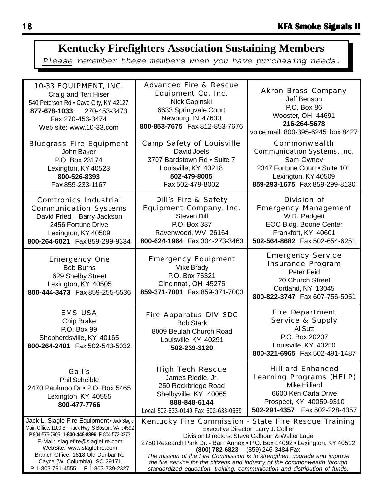## **Kentucky Firefighters Association Sustaining Members**

Please remember these members when you have purchasing needs.

| 10-33 EQUIPMENT, INC.<br>Craig and Teri Hiser<br>540 Peterson Rd · Cave City, KY 42127<br>877-678-1033 270-453-3473<br>Fax 270-453-3474<br>Web site: www.10-33.com                                                                                                                         | <b>Advanced Fire &amp; Rescue</b><br><b>Equipment Co. Inc.</b><br>Nick Gapinski<br>6633 Springvale Court<br>Newburg, IN 47630<br>800-853-7675 Fax 812-853-7676                                                                                                                                                                                                                                                                                                                                                 | <b>Akron Brass Company</b><br>Jeff Benson<br>P.O. Box 86<br>Wooster, OH 44691<br>216-264-5678<br>voice mail: 800-395-6245 box 8427                                         |  |
|--------------------------------------------------------------------------------------------------------------------------------------------------------------------------------------------------------------------------------------------------------------------------------------------|----------------------------------------------------------------------------------------------------------------------------------------------------------------------------------------------------------------------------------------------------------------------------------------------------------------------------------------------------------------------------------------------------------------------------------------------------------------------------------------------------------------|----------------------------------------------------------------------------------------------------------------------------------------------------------------------------|--|
| <b>Bluegrass Fire Equipment</b><br>John Baker<br>P.O. Box 23174<br>Lexington, KY 40523<br>800-526-8393<br>Fax 859-233-1167                                                                                                                                                                 | <b>Camp Safety of Louisville</b><br>David Joels<br>3707 Bardstown Rd . Suite 7<br>Louisville, KY 40218<br>502-479-8005<br>Fax 502-479-8002                                                                                                                                                                                                                                                                                                                                                                     | Commonwealth<br><b>Communication Systems, Inc.</b><br>Sam Owney<br>2347 Fortune Court . Suite 101<br>Lexington, KY 40509<br>859-293-1675 Fax 859-299-8130                  |  |
| <b>Comtronics Industrial</b><br><b>Communication Systems</b><br>David Fried Barry Jackson<br>2456 Fortune Drive<br>Lexington, KY 40509<br>800-264-6021  Fax 859-299-9334                                                                                                                   | <b>Dill's Fire &amp; Safety</b><br><b>Equipment Company, Inc.</b><br><b>Steven Dill</b><br>P.O. Box 337<br>Ravenwood, WV 26164<br>800-624-1964 Fax 304-273-3463                                                                                                                                                                                                                                                                                                                                                | Division of<br><b>Emergency Management</b><br>W.R. Padgett<br>EOC Bldg. Boone Center<br>Frankfort, KY 40601<br>502-564-8682  Fax 502-654-6251                              |  |
| <b>Emergency One</b><br><b>Bob Burns</b><br>629 Shelby Street<br>Lexington, KY 40505<br>800-444-3473 Fax 859-255-5536                                                                                                                                                                      | <b>Emergency Equipment</b><br>Mike Brady<br>P.O. Box 75321<br>Cincinnati, OH 45275<br>859-371-7001 Fax 859-371-7003                                                                                                                                                                                                                                                                                                                                                                                            | <b>Emergency Service</b><br><b>Insurance Program</b><br><b>Peter Feid</b><br>20 Church Street<br>Cortland, NY 13045<br>800-822-3747 Fax 607-756-5051                       |  |
| <b>EMS USA</b><br>Chip Brake<br>P.O. Box 99<br>Shepherdsville, KY 40165<br>800-264-2401  Fax 502-543-5032                                                                                                                                                                                  | <b>Fire Apparatus DIV SDC</b><br><b>Bob Stark</b><br>8009 Beulah Church Road<br>Louisville, KY 40291<br>502-239-3120                                                                                                                                                                                                                                                                                                                                                                                           | <b>Fire Department</b><br><b>Service &amp; Supply</b><br>Al Sutt<br>P.O. Box 20207<br>Louisville, KY 40250<br>800-321-6965 Fax 502-491-1487                                |  |
| Gall's<br><b>Phil Scheible</b><br>2470 Paulmbo Dr . P.O. Box 5465<br>Lexington, KY 40555<br>800-477-7766                                                                                                                                                                                   | <b>High Tech Rescue</b><br>James Riddle, Jr.<br>250 Rockbridge Road<br>Shelbyville, KY 40065<br>888-848-6144<br>Local 502-633-0149 Fax 502-633-0659                                                                                                                                                                                                                                                                                                                                                            | <b>Hilliard Enhanced</b><br><b>Learning Programs (HELP)</b><br><b>Mike Hilliard</b><br>6600 Ken Carla Drive<br>Prospect, KY 40059-9310<br>502-291-4357    Fax 502-228-4357 |  |
| Jack L. Slagle Fire Equipment · Jack Slagle<br>Main Office: 1100 Bill Tuck Hwy, S Boston, VA 24592<br>P804-575-7905 1-800-446-8896 F804-572-3373<br>E-Mail: slaglefire@slaglefire.com<br>WebSite: www.slaglefire.com<br>Branch Office: 1818 Old Dunbar Rd<br>Cayce (W. Columbia), SC 29171 | Kentucky Fire Commission - State Fire Rescue Training<br>Executive Director: Larry J. Collier<br>Division Directors: Steve Calhoun & Walter Lage<br>2750 Research Park Dr. - Barn Annex . P.O. Box 14092 . Lexington, KY 40512<br>(859) 246-3484 Fax<br>(800) 782-6823<br>The mission of the Fire Commission is to strengthen, upgrade and improve<br>the fire service for the citizens and industry of the commonwealth through<br>standardized education, training, communication and distribution of funds. |                                                                                                                                                                            |  |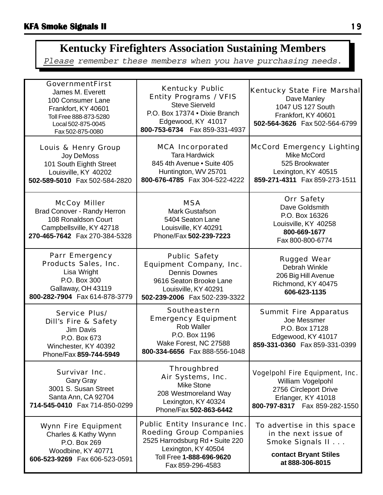## **Kentucky Firefighters Association Sustaining Members**

Please remember these members when you have purchasing needs.

| <b>GovernmentFirst</b><br>James M. Everett<br>100 Consumer Lane<br>Frankfort, KY 40601<br>Toll Free 888-873-5280<br>Local 502-875-0045<br>Fax 502-875-0080 | <b>Kentucky Public</b><br><b>Entity Programs / VFIS</b><br><b>Steve Sierveld</b><br>P.O. Box 17374 . Dixie Branch<br>Edgewood, KY 41017<br>800-753-6734    Fax 859-331-4937     | Kentucky State Fire Marshal<br>Dave Manley<br>1047 US 127 South<br>Frankfort, KY 40601<br>502-564-3626 Fax 502-564-6799              |
|------------------------------------------------------------------------------------------------------------------------------------------------------------|---------------------------------------------------------------------------------------------------------------------------------------------------------------------------------|--------------------------------------------------------------------------------------------------------------------------------------|
| Louis & Henry Group<br>Joy DeMoss<br>101 South Eighth Street<br>Louisville, KY 40202<br>502-589-5010 Fax 502-584-2820                                      | <b>MCA Incorporated</b><br><b>Tara Hardwick</b><br>845 4th Avenue . Suite 405<br>Huntington, WV 25701<br>800-676-4785 Fax 304-522-4222                                          | <b>McCord Emergency Lighting</b><br>Mike McCord<br>525 Brookwater<br>Lexington, KY 40515<br>859-271-4311  Fax 859-273-1511           |
| <b>McCoy Miller</b><br>Brad Conover - Randy Herron<br>108 Ronaldson Court<br>Campbellsville, KY 42718<br>270-465-7642  Fax 270-384-5328                    | <b>MSA</b><br><b>Mark Gustafson</b><br>5404 Seaton Lane<br>Louisville, KY 40291<br>Phone/Fax 502-239-7223                                                                       | <b>Orr Safety</b><br>Dave Goldsmith<br>P.O. Box 16326<br>Louisville, KY 40258<br>800-669-1677<br>Fax 800-800-6774                    |
| <b>Parr Emergency</b><br>Products Sales, Inc.<br>Lisa Wright<br>P.O. Box 300<br>Gallaway, OH 43119<br>800-282-7904 Fax 614-878-3779                        | <b>Public Safety</b><br>Equipment Company, Inc.<br><b>Dennis Downes</b><br>9616 Seaton Brooke Lane<br>Louisville, KY 40291<br>502-239-2006 Fax 502-239-3322                     | <b>Rugged Wear</b><br>Debrah Winkle<br>206 Big Hill Avenue<br>Richmond, KY 40475<br>606-623-1135                                     |
| <b>Service Plus/</b><br><b>Dill's Fire &amp; Safety</b><br>Jim Davis<br>P.O. Box 673<br>Winchester, KY 40392<br>Phone/Fax 859-744-5949                     | <b>Southeastern</b><br><b>Emergency Equipment</b><br>Rob Waller<br>P.O. Box 1196<br>Wake Forest, NC 27588<br>800-334-6656 Fax 888-556-1048                                      | <b>Summit Fire Apparatus</b><br>Joe Messmer<br>P.O. Box 17128<br>Edgewood, KY 41017<br>859-331-0360 Fax 859-331-0399                 |
| Survivar Inc.<br><b>Gary Gray</b><br>3001 S. Susan Street<br>Santa Ann, CA 92704<br>714-545-0410 Fax 714-850-0299                                          | <b>Throughbred</b><br>Air Systems, Inc.<br><b>Mike Stone</b><br>208 Westmoreland Way<br>Lexington, KY 40324<br>Phone/Fax 502-863-6442                                           | Vogelpohl Fire Equipment, Inc.<br>William Vogelpohl<br>2756 Circleport Drive<br>Erlanger, KY 41018<br>800-797-8317  Fax 859-282-1550 |
| <b>Wynn Fire Equipment</b><br>Charles & Kathy Wynn<br>P.O. Box 269<br>Woodbine, KY 40771<br>606-523-9269 Fax 606-523-0591                                  | <b>Public Entity Insurance Inc.</b><br><b>Roeding Group Companies</b><br>2525 Harrodsburg Rd · Suite 220<br>Lexington, KY 40504<br>Toll Free 1-888-696-9620<br>Fax 859-296-4583 | To advertise in this space<br>in the next issue of<br>Smoke Signals II<br>contact Bryant Stiles<br>at 888-306-8015                   |